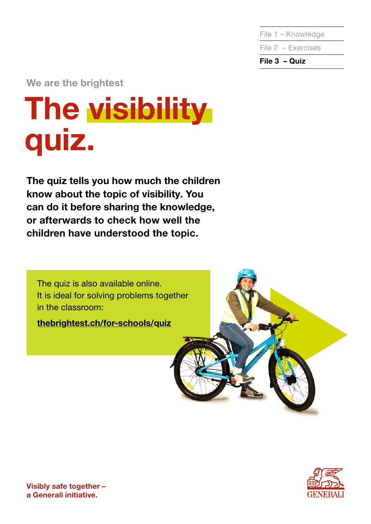File 1 – Knowledge

File 2 – Exercises

File 3 – Quiz

We are the brightest

# The visibility quiz.

The quiz tells you how much the children know about the topic of visibility. You can do it before sharing the knowledge, or afterwards to check how well the children have understood the topic.

The quiz is also available online. It is ideal for solving problems together in the classroom:

[thebrightest.ch/for-schools/quiz](https://thebrightest.generali.ch/for-schools/quiz-for-schools/)





Visibly safe together – a Generali initiative.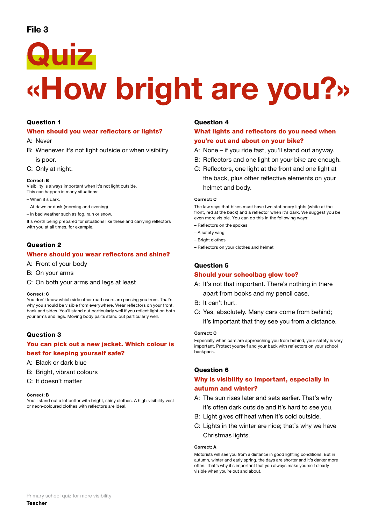# File 3



# «How bright are you?»

#### Question 1

#### When should you wear reflectors or lights?

A: Never

B: Whenever it's not light outside or when visibility is poor.

C: Only at night.

#### Correct: B

Visibility is always important when it's not light outside. This can happen in many situations:

- When it's dark.
- At dawn or dusk (morning and evening)
- In bad weather such as fog, rain or snow.

It's worth being prepared for situations like these and carrying reflectors with you at all times, for example.

#### Question 2

#### Where should you wear reflectors and shine?

- A: Front of your body
- B: On your arms
- C: On both your arms and legs at least

#### Correct: C

You don't know which side other road users are passing you from. That's why you should be visible from everywhere. Wear reflectors on your front, back and sides. You'll stand out particularly well if you reflect light on both your arms and legs. Moving body parts stand out particularly well.

#### Question 3

#### You can pick out a new jacket. Which colour is best for keeping yourself safe?

- A: Black or dark blue
- B: Bright, vibrant colours
- C: It doesn't matter

#### Correct: B

You'll stand out a lot better with bright, shiny clothes. A high-visibility vest or neon-coloured clothes with reflectors are ideal.

#### Question 4

#### What lights and reflectors do you need when you're out and about on your bike?

- A: None if you ride fast, you'll stand out anyway.
- B: Reflectors and one light on your bike are enough.
- C: Reflectors, one light at the front and one light at the back, plus other reflective elements on your helmet and body.

#### Correct: C

The law says that bikes must have two stationary lights (white at the front, red at the back) and a reflector when it's dark. We suggest you be even more visible. You can do this in the following ways:

- Reflectors on the spokes
- A safety wing
- Bright clothes
- Reflectors on your clothes and helmet

#### Question 5

#### Should your schoolbag glow too?

- A: It's not that important. There's nothing in there apart from books and my pencil case.
- B: It can't hurt.
- C: Yes, absolutely. Many cars come from behind; it's important that they see you from a distance.

#### Correct: C

Especially when cars are approaching you from behind, your safety is very important. Protect yourself and your back with reflectors on your school backpack.

#### Question 6

#### Why is visibility so important, especially in autumn and winter?

- A: The sun rises later and sets earlier. That's why it's often dark outside and it's hard to see you.
- B: Light gives off heat when it's cold outside.
- C: Lights in the winter are nice; that's why we have Christmas lights.

#### Correct: A

Motorists will see you from a distance in good lighting conditions. But in autumn, winter and early spring, the days are shorter and it's darker more often. That's why it's important that you always make yourself clearly visible when you're out and about.